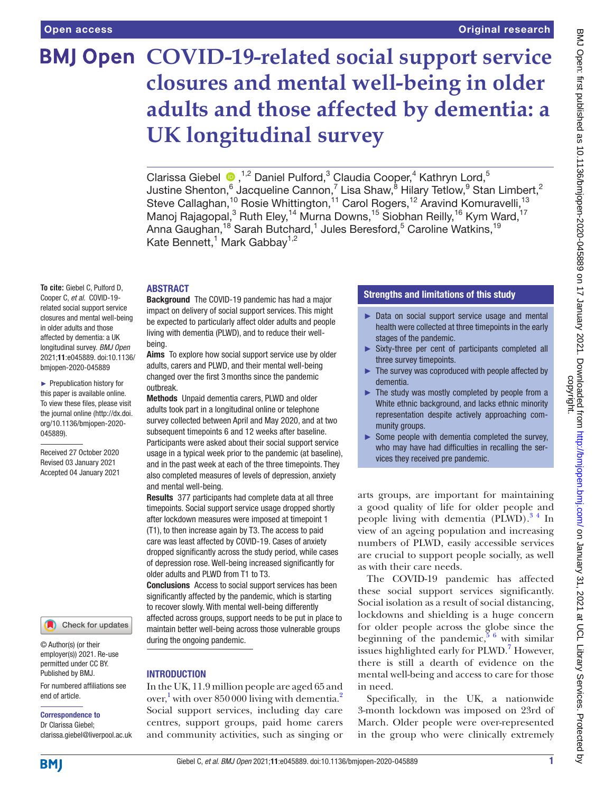# **BMJ Open COVID-19-related social support service closures and mental well-being in older adults and those affected by dementia: a UK longitudinal survey**

Clarissa Giebel  $\bullet$ , <sup>1,2</sup> Daniel Pulford, <sup>3</sup> Claudia Cooper, <sup>4</sup> Kathryn Lord, <sup>5</sup> Justine Shenton, $^6$  Jacqueline Cannon, $^7$  Lisa Shaw, $^8$  Hilary Tetlow, $^9$  Stan Limbert, $^2$ Steve Callaghan,<sup>10</sup> Rosie Whittington,<sup>11</sup> Carol Rogers,<sup>12</sup> Aravind Komuravelli,<sup>13</sup> Manoj Rajagopal,<sup>3</sup> Ruth Eley,<sup>14</sup> Murna Downs,<sup>15</sup> Siobhan Reilly,<sup>16</sup> Kym Ward,<sup>17</sup> Anna Gaughan,<sup>18</sup> Sarah Butchard,<sup>1</sup> Jules Beresford,<sup>5</sup> Caroline Watkins,<sup>19</sup> Kate Bennett,<sup>1</sup> Mark Gabbay<sup>1,2</sup>

## ABSTRACT

**To cite:** Giebel C, Pulford D, Cooper C, *et al*. COVID-19 related social support service closures and mental well-being in older adults and those affected by dementia: a UK longitudinal survey. *BMJ Open* 2021;11:e045889. doi:10.1136/ bmjopen-2020-045889

► Prepublication history for this paper is available online. To view these files, please visit the journal online (http://dx.doi. org/10.1136/bmjopen-2020- 045889).

Received 27 October 2020 Revised 03 January 2021 Accepted 04 January 2021



© Author(s) (or their employer(s)) 2021. Re-use permitted under CC BY. Published by BMJ.

For numbered affiliations see end of article.

#### Correspondence to

Dr Clarissa Giebel; clarissa.giebel@liverpool.ac.uk

Background The COVID-19 pandemic has had a major impact on delivery of social support services. This might be expected to particularly affect older adults and people living with dementia (PLWD), and to reduce their wellbeing.

Aims To explore how social support service use by older adults, carers and PLWD, and their mental well-being changed over the first 3months since the pandemic outbreak.

Methods Unpaid dementia carers, PLWD and older adults took part in a longitudinal online or telephone survey collected between April and May 2020, and at two subsequent timepoints 6 and 12 weeks after baseline. Participants were asked about their social support service usage in a typical week prior to the pandemic (at baseline), and in the past week at each of the three timepoints. They also completed measures of levels of depression, anxiety and mental well-being.

Results 377 participants had complete data at all three timepoints. Social support service usage dropped shortly after lockdown measures were imposed at timepoint 1 (T1), to then increase again by T3. The access to paid care was least affected by COVID-19. Cases of anxiety dropped significantly across the study period, while cases of depression rose. Well-being increased significantly for older adults and PLWD from T1 to T3.

Conclusions Access to social support services has been significantly affected by the pandemic, which is starting to recover slowly. With mental well-being differently affected across groups, support needs to be put in place to maintain better well-being across those vulnerable groups during the ongoing pandemic.

## **INTRODUCTION**

In the UK, 11.9 million people are aged 65 and over,<sup>[1](#page-7-0)</sup> with over 850 000 living with dementia.<sup>[2](#page-7-1)</sup> Social support services, including day care centres, support groups, paid home carers and community activities, such as singing or

## Strengths and limitations of this study

- ► Data on social support service usage and mental health were collected at three timepoints in the early stages of the pandemic.
- ► Sixty-three per cent of participants completed all three survey timepoints.
- The survey was coproduced with people affected by dementia.
- The study was mostly completed by people from a White ethnic background, and lacks ethnic minority representation despite actively approaching community groups.
- $\blacktriangleright$  Some people with dementia completed the survey, who may have had difficulties in recalling the services they received pre pandemic.

arts groups, are important for maintaining a good quality of life for older people and people living with dementia  $(PLWD)^3$ <sup>4</sup> In view of an ageing population and increasing numbers of PLWD, easily accessible services are crucial to support people socially, as well as with their care needs.

The COVID-19 pandemic has affected these social support services significantly. Social isolation as a result of social distancing, lockdowns and shielding is a huge concern for older people across the globe since the beginning of the pandemic,  $5^6$  with similar issues highlighted early for PLWD.<sup>7</sup> However, there is still a dearth of evidence on the mental well-being and access to care for those in need.

Specifically, in the UK, a nationwide 3-month lockdown was imposed on 23rd of March. Older people were over-represented in the group who were clinically extremely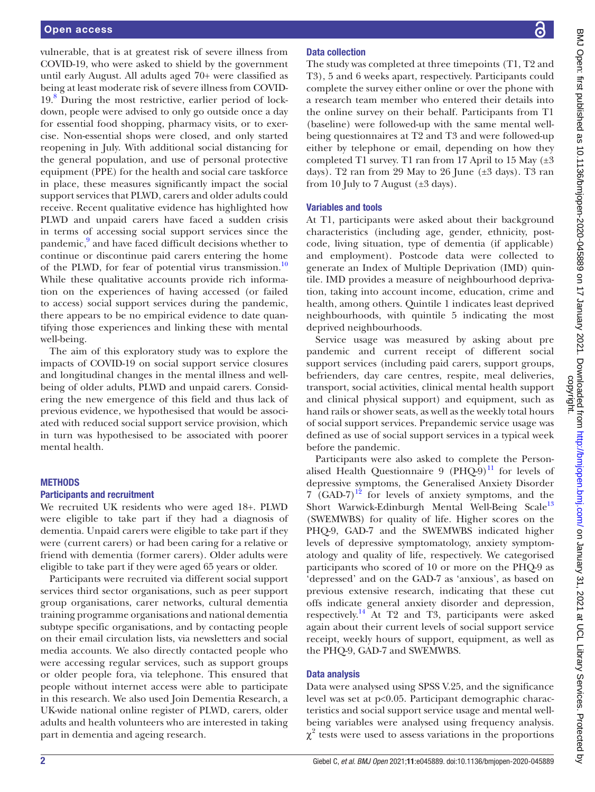vulnerable, that is at greatest risk of severe illness from COVID-19, who were asked to shield by the government until early August. All adults aged 70+ were classified as being at least moderate risk of severe illness from COVID-19[.8](#page-7-5) During the most restrictive, earlier period of lockdown, people were advised to only go outside once a day for essential food shopping, pharmacy visits, or to exercise. Non-essential shops were closed, and only started reopening in July. With additional social distancing for the general population, and use of personal protective equipment (PPE) for the health and social care taskforce in place, these measures significantly impact the social support services that PLWD, carers and older adults could receive. Recent qualitative evidence has highlighted how PLWD and unpaid carers have faced a sudden crisis in terms of accessing social support services since the pandemic,<sup>[9](#page-7-6)</sup> and have faced difficult decisions whether to continue or discontinue paid carers entering the home of the PLWD, for fear of potential virus transmission.<sup>10</sup> While these qualitative accounts provide rich information on the experiences of having accessed (or failed to access) social support services during the pandemic, there appears to be no empirical evidence to date quantifying those experiences and linking these with mental well-being.

The aim of this exploratory study was to explore the impacts of COVID-19 on social support service closures and longitudinal changes in the mental illness and wellbeing of older adults, PLWD and unpaid carers. Considering the new emergence of this field and thus lack of previous evidence, we hypothesised that would be associated with reduced social support service provision, which in turn was hypothesised to be associated with poorer mental health.

## **METHODS**

## Participants and recruitment

We recruited UK residents who were aged 18+. PLWD were eligible to take part if they had a diagnosis of dementia. Unpaid carers were eligible to take part if they were (current carers) or had been caring for a relative or friend with dementia (former carers). Older adults were eligible to take part if they were aged 65 years or older.

Participants were recruited via different social support services third sector organisations, such as peer support group organisations, carer networks, cultural dementia training programme organisations and national dementia subtype specific organisations, and by contacting people on their email circulation lists, via newsletters and social media accounts. We also directly contacted people who were accessing regular services, such as support groups or older people fora, via telephone. This ensured that people without internet access were able to participate in this research. We also used Join Dementia Research, a UK-wide national online register of PLWD, carers, older adults and health volunteers who are interested in taking part in dementia and ageing research.

# Data collection

The study was completed at three timepoints (T1, T2 and T3), 5 and 6 weeks apart, respectively. Participants could complete the survey either online or over the phone with a research team member who entered their details into the online survey on their behalf. Participants from T1 (baseline) were followed-up with the same mental wellbeing questionnaires at T2 and T3 and were followed-up either by telephone or email, depending on how they completed T1 survey. T1 ran from 17 April to 15 May  $(\pm 3)$ days). T2 ran from 29 May to 26 June  $(\pm 3 \text{ days})$ . T3 ran from 10 July to 7 August  $(\pm 3 \text{ days})$ .

# Variables and tools

At T1, participants were asked about their background characteristics (including age, gender, ethnicity, postcode, living situation, type of dementia (if applicable) and employment). Postcode data were collected to generate an Index of Multiple Deprivation (IMD) quintile. IMD provides a measure of neighbourhood deprivation, taking into account income, education, crime and health, among others. Quintile 1 indicates least deprived neighbourhoods, with quintile 5 indicating the most deprived neighbourhoods.

Service usage was measured by asking about pre pandemic and current receipt of different social support services (including paid carers, support groups, befrienders, day care centres, respite, meal deliveries, transport, social activities, clinical mental health support and clinical physical support) and equipment, such as hand rails or shower seats, as well as the weekly total hours of social support services. Prepandemic service usage was defined as use of social support services in a typical week before the pandemic.

Participants were also asked to complete the Personalised Health Questionnaire 9 (PHQ-9) $^{11}$  for levels of depressive symptoms, the Generalised Anxiety Disorder 7 (GAD-7)<sup>[12](#page-7-9)</sup> for levels of anxiety symptoms, and the Short Warwick-Edinburgh Mental Well-Being Scale<sup>[13](#page-7-10)</sup> (SWEMWBS) for quality of life. Higher scores on the PHQ-9, GAD-7 and the SWEMWBS indicated higher levels of depressive symptomatology, anxiety symptomatology and quality of life, respectively. We categorised participants who scored of 10 or more on the PHQ-9 as 'depressed' and on the GAD-7 as 'anxious', as based on previous extensive research, indicating that these cut offs indicate general anxiety disorder and depression, respectively.[14](#page-7-11) At T2 and T3, participants were asked again about their current levels of social support service receipt, weekly hours of support, equipment, as well as the PHQ-9, GAD-7 and SWEMWBS.

# Data analysis

Data were analysed using SPSS V.25, and the significance level was set at p<0.05. Participant demographic characteristics and social support service usage and mental wellbeing variables were analysed using frequency analysis.  $\chi^2$  tests were used to assess variations in the proportions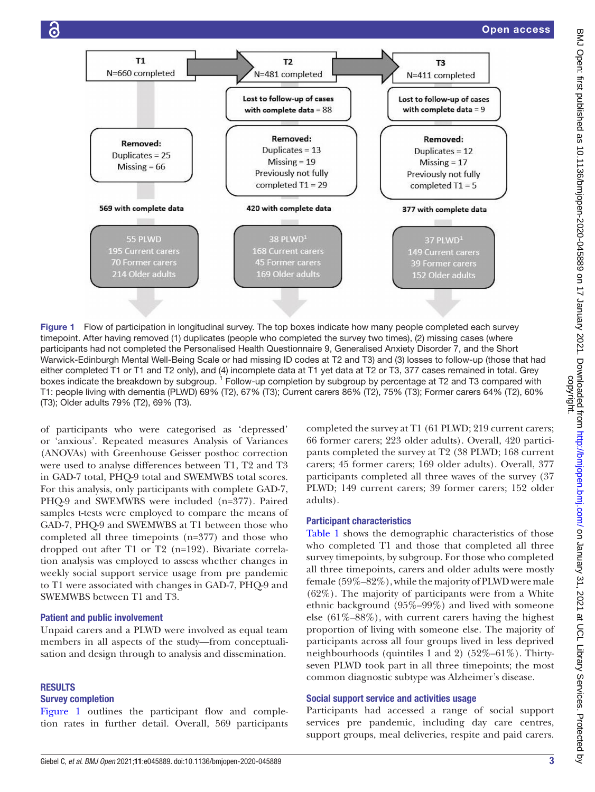

<span id="page-2-0"></span>Figure 1 Flow of participation in longitudinal survey. The top boxes indicate how many people completed each survey timepoint. After having removed (1) duplicates (people who completed the survey two times), (2) missing cases (where participants had not completed the Personalised Health Questionnaire 9, Generalised Anxiety Disorder 7, and the Short Warwick-Edinburgh Mental Well-Being Scale or had missing ID codes at T2 and T3) and (3) losses to follow-up (those that had either completed T1 or T1 and T2 only), and (4) incomplete data at T1 yet data at T2 or T3, 377 cases remained in total. Grey boxes indicate the breakdown by subgroup. <sup>1</sup> Follow-up completion by subgroup by percentage at T2 and T3 compared with T1: people living with dementia (PLWD) 69% (T2), 67% (T3); Current carers 86% (T2), 75% (T3); Former carers 64% (T2), 60% (T3); Older adults 79% (T2), 69% (T3).

of participants who were categorised as 'depressed' or 'anxious'. Repeated measures Analysis of Variances (ANOVAs) with Greenhouse Geisser posthoc correction were used to analyse differences between T1, T2 and T3 in GAD-7 total, PHQ-9 total and SWEMWBS total scores. For this analysis, only participants with complete GAD-7, PHQ-9 and SWEMWBS were included (n=377). Paired samples t-tests were employed to compare the means of GAD-7, PHQ-9 and SWEMWBS at T1 between those who completed all three timepoints (n=377) and those who dropped out after T1 or T2 (n=192). Bivariate correlation analysis was employed to assess whether changes in weekly social support service usage from pre pandemic to T1 were associated with changes in GAD-7, PHQ-9 and SWEMWBS between T1 and T3.

#### Patient and public involvement

Unpaid carers and a PLWD were involved as equal team members in all aspects of the study—from conceptualisation and design through to analysis and dissemination.

#### RESULTS

## Survey completion

[Figure](#page-2-0) 1 outlines the participant flow and completion rates in further detail. Overall, 569 participants

completed the survey at T1 (61 PLWD; 219 current carers; 66 former carers; 223 older adults). Overall, 420 participants completed the survey at T2 (38 PLWD; 168 current carers; 45 former carers; 169 older adults). Overall, 377 participants completed all three waves of the survey (37 PLWD; 149 current carers; 39 former carers; 152 older adults).

#### Participant characteristics

[Table](#page-3-0) 1 shows the demographic characteristics of those who completed T1 and those that completed all three survey timepoints, by subgroup. For those who completed all three timepoints, carers and older adults were mostly female (59%–82%), while the majority of PLWD were male (62%). The majority of participants were from a White ethnic background (95%–99%) and lived with someone else (61%–88%), with current carers having the highest proportion of living with someone else. The majority of participants across all four groups lived in less deprived neighbourhoods (quintiles 1 and 2) (52%–61%). Thirtyseven PLWD took part in all three timepoints; the most common diagnostic subtype was Alzheimer's disease.

#### Social support service and activities usage

Participants had accessed a range of social support services pre pandemic, including day care centres, support groups, meal deliveries, respite and paid carers.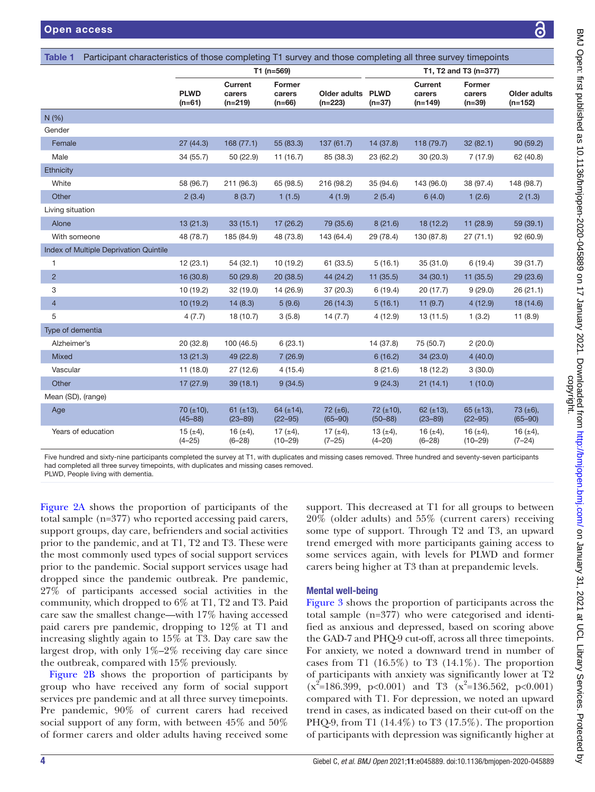<span id="page-3-0"></span>

| Participant characteristics of those completing T1 survey and those completing all three survey timepoints<br><b>Table 1</b> |                                 |                                |                                |                                |                              |                                       |                                     |                                  |
|------------------------------------------------------------------------------------------------------------------------------|---------------------------------|--------------------------------|--------------------------------|--------------------------------|------------------------------|---------------------------------------|-------------------------------------|----------------------------------|
|                                                                                                                              | T1 (n=569)                      |                                |                                |                                | T1, T2 and T3 (n=377)        |                                       |                                     |                                  |
|                                                                                                                              | <b>PLWD</b><br>$(n=61)$         | Current<br>carers<br>$(n=219)$ | Former<br>carers<br>$(n=66)$   | Older adults PLWD<br>$(n=223)$ | $(n=37)$                     | <b>Current</b><br>carers<br>$(n=149)$ | <b>Former</b><br>carers<br>$(n=39)$ | <b>Older adults</b><br>$(n=152)$ |
| N(%)                                                                                                                         |                                 |                                |                                |                                |                              |                                       |                                     |                                  |
| Gender                                                                                                                       |                                 |                                |                                |                                |                              |                                       |                                     |                                  |
| Female                                                                                                                       | 27(44.3)                        | 168(77.1)                      | 55 (83.3)                      | 137(61.7)                      | 14 (37.8)                    | 118 (79.7)                            | 32(82.1)                            | 90(59.2)                         |
| Male                                                                                                                         | 34 (55.7)                       | 50 (22.9)                      | 11(16.7)                       | 85 (38.3)                      | 23 (62.2)                    | 30(20.3)                              | 7(17.9)                             | 62 (40.8)                        |
| Ethnicity                                                                                                                    |                                 |                                |                                |                                |                              |                                       |                                     |                                  |
| White                                                                                                                        | 58 (96.7)                       | 211 (96.3)                     | 65 (98.5)                      | 216 (98.2)                     | 35 (94.6)                    | 143 (96.0)                            | 38 (97.4)                           | 148 (98.7)                       |
| Other                                                                                                                        | 2(3.4)                          | 8(3.7)                         | 1(1.5)                         | 4(1.9)                         | 2(5.4)                       | 6(4.0)                                | 1(2.6)                              | 2(1.3)                           |
| Living situation                                                                                                             |                                 |                                |                                |                                |                              |                                       |                                     |                                  |
| Alone                                                                                                                        | 13 (21.3)                       | 33(15.1)                       | 17 (26.2)                      | 79 (35.6)                      | 8(21.6)                      | 18 (12.2)                             | 11 (28.9)                           | 59 (39.1)                        |
| With someone                                                                                                                 | 48 (78.7)                       | 185 (84.9)                     | 48 (73.8)                      | 143 (64.4)                     | 29 (78.4)                    | 130 (87.8)                            | 27(71.1)                            | 92 (60.9)                        |
| Index of Multiple Deprivation Quintile                                                                                       |                                 |                                |                                |                                |                              |                                       |                                     |                                  |
| $\mathbf{1}$                                                                                                                 | 12(23.1)                        | 54(32.1)                       | 10(19.2)                       | 61 (33.5)                      | 5(16.1)                      | 35(31.0)                              | 6(19.4)                             | 39 (31.7)                        |
| $\overline{2}$                                                                                                               | 16 (30.8)                       | 50 (29.8)                      | 20(38.5)                       | 44 (24.2)                      | 11(35.5)                     | 34(30.1)                              | 11(35.5)                            | 29 (23.6)                        |
| 3                                                                                                                            | 10(19.2)                        | 32(19.0)                       | 14 (26.9)                      | 37 (20.3)                      | 6(19.4)                      | 20(17.7)                              | 9(29.0)                             | 26(21.1)                         |
| $\overline{4}$                                                                                                               | 10(19.2)                        | 14(8.3)                        | 5(9.6)                         | 26(14.3)                       | 5(16.1)                      | 11(9.7)                               | 4(12.9)                             | 18 (14.6)                        |
| 5                                                                                                                            | 4(7.7)                          | 18 (10.7)                      | 3(5.8)                         | 14(7.7)                        | 4(12.9)                      | 13(11.5)                              | 1(3.2)                              | 11(8.9)                          |
| Type of dementia                                                                                                             |                                 |                                |                                |                                |                              |                                       |                                     |                                  |
| Alzheimer's                                                                                                                  | 20(32.8)                        | 100 (46.5)                     | 6(23.1)                        |                                | 14 (37.8)                    | 75 (50.7)                             | 2(20.0)                             |                                  |
| <b>Mixed</b>                                                                                                                 | 13(21.3)                        | 49 (22.8)                      | 7(26.9)                        |                                | 6(16.2)                      | 34 (23.0)                             | 4(40.0)                             |                                  |
| Vascular                                                                                                                     | 11(18.0)                        | 27(12.6)                       | 4(15.4)                        |                                | 8(21.6)                      | 18 (12.2)                             | 3(30.0)                             |                                  |
| Other                                                                                                                        | 17(27.9)                        | 39(18.1)                       | 9(34.5)                        |                                | 9(24.3)                      | 21(14.1)                              | 1(10.0)                             |                                  |
| Mean (SD), (range)                                                                                                           |                                 |                                |                                |                                |                              |                                       |                                     |                                  |
| Age                                                                                                                          | $70 \ (\pm 10),$<br>$(45 - 88)$ | 61 $(\pm 13)$ ,<br>$(23 - 89)$ | 64 $(\pm 14)$ ,<br>$(22 - 95)$ | $72 \ (\pm 6),$<br>$(65 - 90)$ | 72 (±10),<br>$(50 - 88)$     | 62 $(\pm 13)$ ,<br>$(23 - 89)$        | $65 (\pm 13),$<br>$(22 - 95)$       | 73 $(\pm 6)$ ,<br>$(65 - 90)$    |
| Years of education                                                                                                           | 15 $(\pm 4)$ ,<br>$(4 - 25)$    | 16 $(\pm 4)$ ,<br>$(6 - 28)$   | 17 $(\pm 4)$ ,<br>$(10 - 29)$  | 17 $(\pm 4)$ ,<br>$(7 - 25)$   | 13 $(\pm 4)$ ,<br>$(4 - 20)$ | 16 $(\pm 4)$ ,<br>$(6 - 28)$          | 16 $(\pm 4)$ ,<br>$(10 - 29)$       | 16 $(±4)$ ,<br>$(7-24)$          |

Five hundred and sixty-nine participants completed the survey at T1, with duplicates and missing cases removed. Three hundred and seventy-seven participants had completed all three survey timepoints, with duplicates and missing cases removed.

PLWD, People living with dementia.

[Figure](#page-4-0) 2A shows the proportion of participants of the total sample (n=377) who reported accessing paid carers, support groups, day care, befrienders and social activities prior to the pandemic, and at T1, T2 and T3. These were the most commonly used types of social support services prior to the pandemic. Social support services usage had dropped since the pandemic outbreak. Pre pandemic, 27% of participants accessed social activities in the community, which dropped to 6% at T1, T2 and T3. Paid care saw the smallest change—with 17% having accessed paid carers pre pandemic, dropping to 12% at T1 and increasing slightly again to 15% at T3. Day care saw the largest drop, with only  $1\% - 2\%$  receiving day care since the outbreak, compared with 15% previously.

[Figure](#page-4-0) 2B shows the proportion of participants by group who have received any form of social support services pre pandemic and at all three survey timepoints. Pre pandemic, 90% of current carers had received social support of any form, with between 45% and 50% of former carers and older adults having received some

support. This decreased at T1 for all groups to between 20% (older adults) and 55% (current carers) receiving some type of support. Through T2 and T3, an upward trend emerged with more participants gaining access to some services again, with levels for PLWD and former carers being higher at T3 than at prepandemic levels.

# Mental well-being

[Figure](#page-4-1) 3 shows the proportion of participants across the total sample (n=377) who were categorised and identified as anxious and depressed, based on scoring above the GAD-7 and PHQ-9 cut-off, across all three timepoints. For anxiety, we noted a downward trend in number of cases from T1  $(16.5\%)$  to T3  $(14.1\%)$ . The proportion of participants with anxiety was significantly lower at T2  $(x^2=186.399, p<0.001)$  and T3  $(x^2=136.562, p<0.001)$ compared with T1. For depression, we noted an upward trend in cases, as indicated based on their cut-off on the PHQ-9, from T1 (14.4%) to T3 (17.5%). The proportion of participants with depression was significantly higher at

δ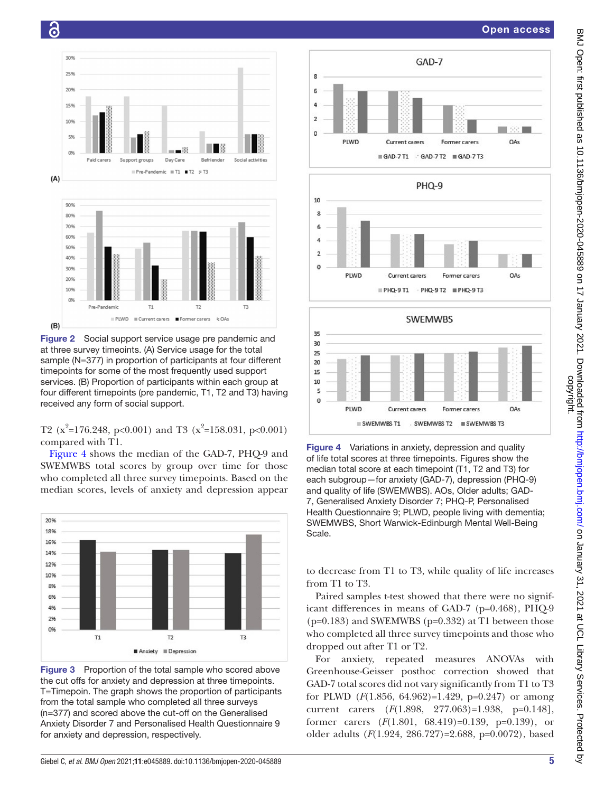



<span id="page-4-0"></span>Figure 2 Social support service usage pre pandemic and at three survey timeoints. (A) Service usage for the total sample (N=377) in proportion of participants at four different timepoints for some of the most frequently used support services. (B) Proportion of participants within each group at four different timepoints (pre pandemic, T1, T2 and T3) having received any form of social support.

T2 ( $x^2$ =176.248, p<0.001) and T3 ( $x^2$ =158.031, p<0.001) compared with T1.

[Figure](#page-4-2) 4 shows the median of the GAD-7, PHQ-9 and SWEMWBS total scores by group over time for those who completed all three survey timepoints. Based on the median scores, levels of anxiety and depression appear



<span id="page-4-1"></span>Figure 3 Proportion of the total sample who scored above the cut offs for anxiety and depression at three timepoints. T=Timepoin. The graph shows the proportion of participants from the total sample who completed all three surveys (n=377) and scored above the cut-off on the Generalised Anxiety Disorder 7 and Personalised Health Questionnaire 9 for anxiety and depression, respectively.



<span id="page-4-2"></span>Figure 4 Variations in anxiety, depression and quality of life total scores at three timepoints. Figures show the median total score at each timepoint (T1, T2 and T3) for each subgroup—for anxiety (GAD-7), depression (PHQ-9) and quality of life (SWEMWBS). AOs, Older adults; GAD-7, Generalised Anxiety Disorder 7; PHQ-P, Personalised Health Questionnaire 9; PLWD, people living with dementia; SWEMWBS, Short Warwick-Edinburgh Mental Well-Being Scale.

to decrease from T1 to T3, while quality of life increases from T1 to T3.

Paired samples t-test showed that there were no significant differences in means of GAD-7 (p=0.468), PHQ-9  $(p=0.183)$  and SWEMWBS  $(p=0.332)$  at T1 between those who completed all three survey timepoints and those who dropped out after T1 or T2.

For anxiety, repeated measures ANOVAs with Greenhouse-Geisser posthoc correction showed that GAD-7 total scores did not vary significantly from T1 to T3 for PLWD (*F*(1.856, 64.962)=1.429, p=0.247) or among current carers (*F*(1.898, 277.063)=1.938, p=0.148], former carers (*F*(1.801, 68.419)=0.139, p=0.139), or older adults (*F*(1.924, 286.727)=2.688, p=0.0072), based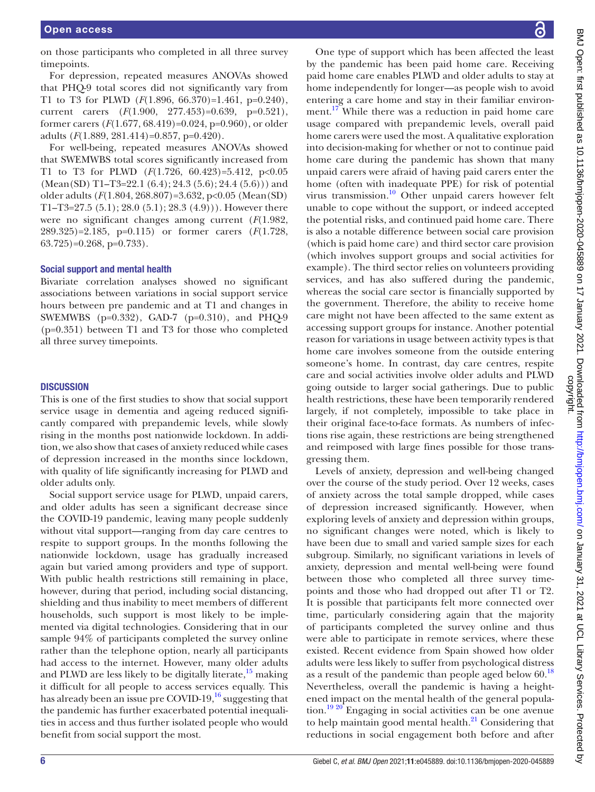on those participants who completed in all three survey timepoints.

For depression, repeated measures ANOVAs showed that PHQ-9 total scores did not significantly vary from T1 to T3 for PLWD (*F*(1.896, 66.370)=1.461, p=0.240), current carers (*F*(1.900, 277.453)=0.639, p=0.521), former carers (*F*(1.677, 68.419)=0.024, p=0.960), or older adults (*F*(1.889, 281.414)=0.857, p=0.420).

For well-being, repeated measures ANOVAs showed that SWEMWBS total scores significantly increased from T1 to T3 for PLWD (*F*(1.726, 60.423)=5.412, p<0.05  $(Mean(SD) T1-T3=22.1 (6.4); 24.3 (5.6); 24.4 (5.6))$  and older adults (*F*(1.804, 268.807)=3.632, p<0.05 (Mean(SD) T1–T3=27.5  $(5.1)$ ; 28.0  $(5.1)$ ; 28.3  $(4.9)$ )). However there were no significant changes among current (*F*(1.982, 289.325)=2.185, p=0.115) or former carers (*F*(1.728,  $63.725$ )=0.268, p=0.733).

#### Social support and mental health

Bivariate correlation analyses showed no significant associations between variations in social support service hours between pre pandemic and at T1 and changes in SWEMWBS (p=0.332), GAD-7 (p=0.310), and PHQ-9 (p=0.351) between T1 and T3 for those who completed all three survey timepoints.

#### **DISCUSSION**

This is one of the first studies to show that social support service usage in dementia and ageing reduced significantly compared with prepandemic levels, while slowly rising in the months post nationwide lockdown. In addition, we also show that cases of anxiety reduced while cases of depression increased in the months since lockdown, with quality of life significantly increasing for PLWD and older adults only.

Social support service usage for PLWD, unpaid carers, and older adults has seen a significant decrease since the COVID-19 pandemic, leaving many people suddenly without vital support—ranging from day care centres to respite to support groups. In the months following the nationwide lockdown, usage has gradually increased again but varied among providers and type of support. With public health restrictions still remaining in place, however, during that period, including social distancing, shielding and thus inability to meet members of different households, such support is most likely to be implemented via digital technologies. Considering that in our sample 94% of participants completed the survey online rather than the telephone option, nearly all participants had access to the internet. However, many older adults and PLWD are less likely to be digitally literate,  $15$  making it difficult for all people to access services equally. This has already been an issue pre COVID-19, $^{16}$  $^{16}$  $^{16}$  suggesting that the pandemic has further exacerbated potential inequalities in access and thus further isolated people who would benefit from social support the most.

One type of support which has been affected the least by the pandemic has been paid home care. Receiving paid home care enables PLWD and older adults to stay at home independently for longer—as people wish to avoid entering a care home and stay in their familiar environment.<sup>17</sup> While there was a reduction in paid home care usage compared with prepandemic levels, overall paid home carers were used the most. A qualitative exploration into decision-making for whether or not to continue paid home care during the pandemic has shown that many unpaid carers were afraid of having paid carers enter the home (often with inadequate PPE) for risk of potential virus transmission.<sup>10</sup> Other unpaid carers however felt unable to cope without the support, or indeed accepted the potential risks, and continued paid home care. There is also a notable difference between social care provision (which is paid home care) and third sector care provision (which involves support groups and social activities for example). The third sector relies on volunteers providing services, and has also suffered during the pandemic, whereas the social care sector is financially supported by the government. Therefore, the ability to receive home care might not have been affected to the same extent as accessing support groups for instance. Another potential reason for variations in usage between activity types is that home care involves someone from the outside entering someone's home. In contrast, day care centres, respite care and social activities involve older adults and PLWD going outside to larger social gatherings. Due to public health restrictions, these have been temporarily rendered largely, if not completely, impossible to take place in their original face-to-face formats. As numbers of infections rise again, these restrictions are being strengthened and reimposed with large fines possible for those transgressing them.

Levels of anxiety, depression and well-being changed over the course of the study period. Over 12 weeks, cases of anxiety across the total sample dropped, while cases of depression increased significantly. However, when exploring levels of anxiety and depression within groups, no significant changes were noted, which is likely to have been due to small and varied sample sizes for each subgroup. Similarly, no significant variations in levels of anxiety, depression and mental well-being were found between those who completed all three survey timepoints and those who had dropped out after T1 or T2. It is possible that participants felt more connected over time, particularly considering again that the majority of participants completed the survey online and thus were able to participate in remote services, where these existed. Recent evidence from Spain showed how older adults were less likely to suffer from psychological distress as a result of the pandemic than people aged below  $60.^{18}$  $60.^{18}$  $60.^{18}$ Nevertheless, overall the pandemic is having a heightened impact on the mental health of the general popula-tion.<sup>[19 20](#page-7-16)</sup> Engaging in social activities can be one avenue to help maintain good mental health. $^{21}$  Considering that reductions in social engagement both before and after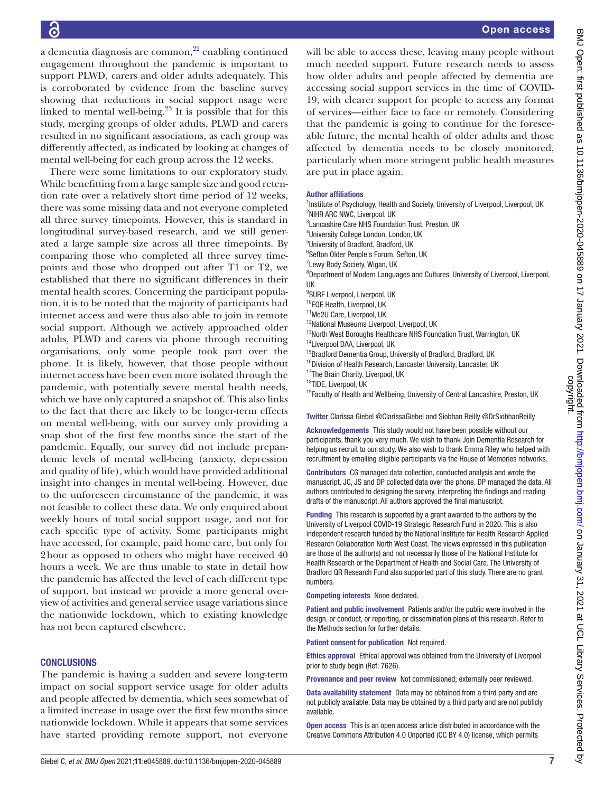a dementia diagnosis are common, $^{22}$  enabling continued engagement throughout the pandemic is important to support PLWD, carers and older adults adequately. This is corroborated by evidence from the baseline survey showing that reductions in social support usage were linked to mental well-being. $^{23}$  It is possible that for this study, merging groups of older adults, PLWD and carers resulted in no significant associations, as each group was differently affected, as indicated by looking at changes of mental well-being for each group across the 12 weeks.

There were some limitations to our exploratory study. While benefitting from a large sample size and good retention rate over a relatively short time period of 12 weeks, there was some missing data and not everyone completed all three survey timepoints. However, this is standard in longitudinal survey-based research, and we still generated a large sample size across all three timepoints. By comparing those who completed all three survey timepoints and those who dropped out after T1 or T2, we established that there no significant differences in their mental health scores. Concerning the participant population, it is to be noted that the majority of participants had internet access and were thus also able to join in remote social support. Although we actively approached older adults, PLWD and carers via phone through recruiting organisations, only some people took part over the phone. It is likely, however, that those people without internet access have been even more isolated through the pandemic, with potentially severe mental health needs, which we have only captured a snapshot of. This also links to the fact that there are likely to be longer-term effects on mental well-being, with our survey only providing a snap shot of the first few months since the start of the pandemic. Equally, our survey did not include prepandemic levels of mental well-being (anxiety, depression and quality of life), which would have provided additional insight into changes in mental well-being. However, due to the unforeseen circumstance of the pandemic, it was not feasible to collect these data. We only enquired about weekly hours of total social support usage, and not for each specific type of activity. Some participants might have accessed, for example, paid home care, but only for 2hour as opposed to others who might have received 40 hours a week. We are thus unable to state in detail how the pandemic has affected the level of each different type of support, but instead we provide a more general overview of activities and general service usage variations since the nationwide lockdown, which to existing knowledge has not been captured elsewhere.

# **CONCLUSIONS**

The pandemic is having a sudden and severe long-term impact on social support service usage for older adults and people affected by dementia, which sees somewhat of a limited increase in usage over the first few months since nationwide lockdown. While it appears that some services have started providing remote support, not everyone

will be able to access these, leaving many people without much needed support. Future research needs to assess how older adults and people affected by dementia are accessing social support services in the time of COVID-19, with clearer support for people to access any format of services—either face to face or remotely. Considering that the pandemic is going to continue for the foreseeable future, the mental health of older adults and those affected by dementia needs to be closely monitored, particularly when more stringent public health measures are put in place again.

#### Author affiliations

<sup>1</sup>Institute of Psychology, Health and Society, University of Liverpool, Liverpool, UK <sup>2</sup>NIHR ARC NWC, Liverpool, UK 3 Lancashire Care NHS Foundation Trust, Preston, UK

4 University College London, London, UK

5 University of Bradford, Bradford, UK

6 Sefton Older People's Forum, Sefton, UK

<sup>7</sup> Lewy Body Society, Wigan, UK

<sup>8</sup>Department of Modern Languages and Cultures, University of Liverpool, Liverpool, UK

<sup>9</sup>SURF Liverpool, Liverpool, UK

10EQE Health, Liverpool, UK

11Me2U Care, Liverpool, UK

<sup>12</sup>National Museums Liverpool, Liverpool, UK

- <sup>13</sup>North West Boroughs Healthcare NHS Foundation Trust, Warrington, UK 14Liverpool DAA, Liverpool, UK
- <sup>15</sup>Bradford Dementia Group, University of Bradford, Bradford, UK
- <sup>16</sup>Division of Health Research, Lancaster University, Lancaster, UK
- 17The Brain Charity, Liverpool, UK

18TIDE, Liverpool, UK

<sup>19</sup>Faculty of Health and Wellbeing, University of Central Lancashire, Preston, UK

Twitter Clarissa Giebel [@ClarissaGiebel](https://twitter.com/ClarissaGiebel) and Siobhan Reilly [@DrSiobhanReilly](https://twitter.com/DrSiobhanReilly)

Acknowledgements This study would not have been possible without our participants, thank you very much. We wish to thank Join Dementia Research for helping us recruit to our study. We also wish to thank Emma Riley who helped with recruitment by emailing eligible participants via the House of Memories networks.

Contributors CG managed data collection, conducted analysis and wrote the manuscript. JC, JS and DP collected data over the phone. DP managed the data. All authors contributed to designing the survey, interpreting the findings and reading drafts of the manuscript. All authors approved the final manuscript.

Funding This research is supported by a grant awarded to the authors by the University of Liverpool COVID-19 Strategic Research Fund in 2020. This is also independent research funded by the National Institute for Health Research Applied Research Collaboration North West Coast. The views expressed in this publication are those of the author(s) and not necessarily those of the National Institute for Health Research or the Department of Health and Social Care. The University of Bradford QR Research Fund also supported part of this study. There are no grant numbers.

Competing interests None declared.

Patient and public involvement Patients and/or the public were involved in the design, or conduct, or reporting, or dissemination plans of this research. Refer to the Methods section for further details.

Patient consent for publication Not required.

Ethics approval Ethical approval was obtained from the University of Liverpool prior to study begin (Ref: 7626).

Provenance and peer review Not commissioned; externally peer reviewed.

Data availability statement Data may be obtained from a third party and are not publicly available. Data may be obtained by a third party and are not publicly available.

Open access This is an open access article distributed in accordance with the Creative Commons Attribution 4.0 Unported (CC BY 4.0) license, which permits